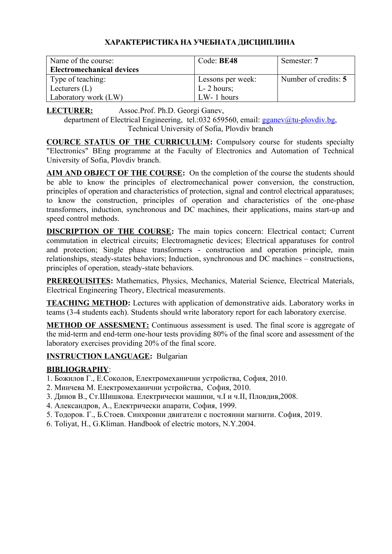# **ХАРАКТЕРИСТИКА НА УЧЕБНАТА ДИСЦИПЛИНА**

| Name of the course:<br><b>Electromechanical devices</b> | Code: BE48          | Semester: 7          |
|---------------------------------------------------------|---------------------|----------------------|
| Type of teaching:                                       | Lessons per week:   | Number of credits: 5 |
| Lecturers $(L)$                                         | $\vert$ L- 2 hours; |                      |
| Laboratory work (LW)                                    | $LW-1$ hours        |                      |

**LECTURER:** Assoc.Prof. Ph.D. Georgi Ganev,

department of Electrical Engineering, tel.:032 659560, email:  $gganev@tu$ -plovdiv bg, Technical University of Sofia, Plovdiv branch

**COURCE STATUS OF THE CURRICULUM:** Compulsory course for students specialty "Electronics" BEng programme at the Faculty of Electronics and Automation of Technical University of Sofia, Plovdiv branch.

**AIM AND OBJECT OF THE COURSE:** On the completion of the course the students should be able to know the principles of electromechanical power conversion, the construction, principles of operation and characteristics of protection, signal and control electrical apparatuses; to know the construction, principles of operation and characteristics of the one-phase transformers, induction, synchronous and DC machines, their applications, mains start-up and speed control methods.

**DISCRIPTION OF THE COURSE:** The main topics concern: Electrical contact; Current commutation in electrical circuits; Electromagnetic devices; Electrical apparatuses for control and protection; Single phase transformers - construction and operation principle, main relationships, steady-states behaviors; Induction, synchronous and DC machines – constructions, principles of operation, steady-state behaviors.

**PREREQUISITES:** Mathematics, Physics, Mechanics, Material Science, Electrical Materials, Electrical Engineering Theory, Electrical measurements.

**TEACHING METHOD:** Lectures with application of demonstrative aids. Laboratory works in teams (3-4 students each). Students should write laboratory report for each laboratory exercise.

**METHOD OF ASSESMENT:** Continuous assessment is used. The final score is aggregate of the mid-term and end-term one-hour tests providing 80% of the final score and assessment of the laboratory exercises providing 20% of the final score.

## **INSTRUCTION LANGUAGE:** Bulgarian

# **BIBLIOGRAPHY**:

- 1. Божилов Г., Е.Соколов, Електромеханични устройства, София, 2010.
- 2. Минчева М. Електромеханични устройства, София, 2010.
- 3. Динов В., Ст.Шишкова. Електрически машини, ч.I и ч.II, Пловдив,2008.
- 4. Александров, А., Електрически апарати, София, 1999.
- 5. Тодоров. Г., Б.Стоев. Синхронни двигатели с постоянни магнити. София, 2019.
- 6. Toliyat, H., G.Kliman. Handbook of electric motors, N.Y.2004.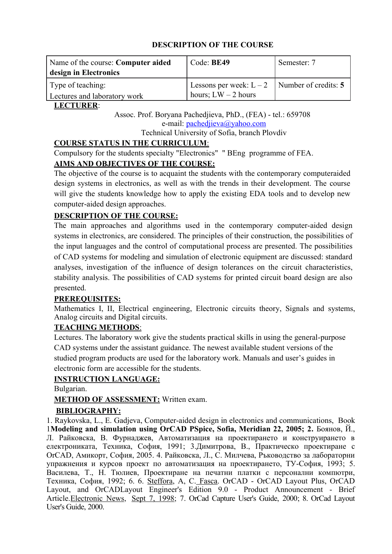| Name of the course: Computer aided<br>design in Electronics | Code: BE49                                                              | Semester: 7 |
|-------------------------------------------------------------|-------------------------------------------------------------------------|-------------|
| Type of teaching:<br>Lectures and laboratory work           | Lessons per week: $L-2$   Number of credits: 5<br>hours; $LW - 2$ hours |             |

# **LECTURER:**

Assoc. Prof. Boryana Pachedjieva, PhD., (FEA) - tel.: 659708 e-mail: [pachedjieva@yahoo.com](mailto:pachedjieva@yahoo.com) Technical University of Sofia, branch Plovdiv

# **COURSE STATUS IN THE CURRICULUM:**

Compulsory for the students specialty "Electronics" " BEng programme of FEA.

# **AIMS AND OBJECTIVES OF THE COURSE:**

The objective of the course is to acquaint the students with the contemporary computeraided design systems in electronics, as well as with the trends in their development. The course will give the students knowledge how to apply the existing EDA tools and to develop new computer-aided design approaches.

# **DESCRIPTION OF THE COURSE:**

The main approaches and algorithms used in the contemporary computer-aided design systems in electronics, are considered. The principles of their construction, the possibilities of the input languages and the control of computational process are presented. The possibilities of CAD systems for modeling and simulation of electronic equipment are discussed: standard analyses, investigation of the influence of design tolerances on the circuit characteristics, stability analysis. The possibilities of CAD systems for printed circuit board design are also presented.

## **PREREOUISITES:**

Mathematics I, II, Electrical engineering, Electronic circuits theory, Signals and systems, Analog circuits and Digital circuits.

## **TEACHING METHODS:**

Lectures. The laboratory work give the students practical skills in using the general-purpose CAD systems under the assistant guidance. The newest available student versions of the studied program products are used for the laboratory work. Manuals and user's guides in electronic form are accessible for the students.

## **INSTRUCTION LANGUAGE:**

Bulgarian.

# **METHOD OF ASSESSMENT:** Written exam.

# **BIBLIOGRAPHY:**

1. Raykovska, L., E. Gadjeva, Computer-aided design in electronics and communications, Book 1**Modeling and simulation using OrCAD PSpice, Sofia, Meridian 22, 2005; 2.** Боянов, Й., Л. Райковска, В. Фурнаджев, Автоматизация на проектирането и конструирането в електрониката, Техника, София, 1991; 3.Димитрова, В., Практическо проектиране с OrCAD, Амикорт, София, 2005. 4. Райковска, Л., С. Милчева, Ръководство за лабораторни упражнения и курсов проект по автоматизация на проектирането, ТУ-София, 1993; 5. Василева, Т., Н. Тюлиев, Проектиране на печатни платки с персонални компютри, Техника, София, 1992; 6. 6. [Steffora](http://www.findarticles.com/p/search?tb=art&qt=%22Ann+Steffora%22), A, C[. Fasca](http://www.findarticles.com/p/search?tb=art&qt=%22Chad+Fasca%22). OrCAD - OrCAD Layout Plus, OrCAD Layout, and OrCADLayout Engineer's Edition 9.0 - Product Announcement - Brief Article.[Electronic News,](http://www.findarticles.com/p/articles/mi_m0EKF) [Sept 7, 1998;](http://www.findarticles.com/p/articles/mi_m0EKF/is_n2235_v44) 7. OrCad Capture User's Guide, 2000; 8. OrCad Layout User's Guide, 2000.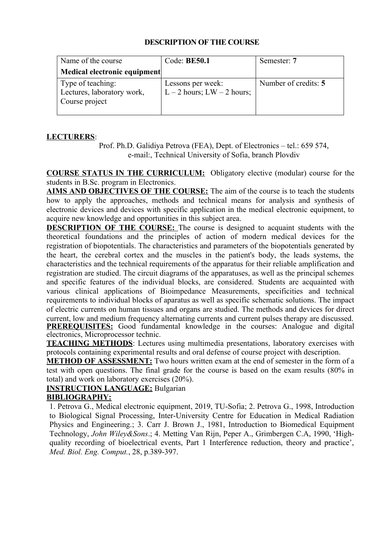| Name of the course                                                | Code: $BE50.1$                                  | Semester: 7          |
|-------------------------------------------------------------------|-------------------------------------------------|----------------------|
| Medical electronic equipment                                      |                                                 |                      |
| Type of teaching:<br>Lectures, laboratory work,<br>Course project | Lessons per week:<br>L – 2 hours; LW – 2 hours; | Number of credits: 5 |

## **LECTURERS**:

Prof. Ph.D. Galidiya Petrova (FEA), Dept. of Electronics – tel.: 659 574, e-mail:, Technical University of Sofia, branch Plovdiv

**COURSE STATUS IN THE CURRICULUM:** Obligatory elective (modular) course for the students in B.Sc. program in Electronics.

**AIMS AND OBJECTIVES OF THE COURSE:** The aim of the course is to teach the students how to apply the approaches, methods and technical means for analysis and synthesis of electronic devices and devices with specific application in the medical electronic equipment, to acquire new knowledge and opportunities in this subject area.

**DESCRIPTION OF THE COURSE:** The course is designed to acquaint students with the theoretical foundations and the principles of action of modern medical devices for the registration of biopotentials. The characteristics and parameters of the biopotentials generated by the heart, the cerebral cortex and the muscles in the patient's body, the leads systems, the characteristics and the technical requirements of the apparatus for their reliable amplification and registration are studied. The circuit diagrams of the apparatuses, as well as the principal schemes and specific features of the individual blocks, are considered. Students are acquainted with various clinical applications of Bioimpedance Measurements, specificities and technical requirements to individual blocks of aparatus as well as specific schematic solutions. The impact of electric currents on human tissues and organs are studied. The methods and devices for direct current, low and medium frequency alternating currents and current pulses therapy are discussed. **PREREQUISITES:** Good fundamental knowledge in the courses: Analogue and digital electronics, Microprocessor technic.

**TEACHING METHODS**: Lectures using multimedia presentations, laboratory exercises with protocols containing experimental results and oral defense of course project with description.

**METHOD OF ASSESSMENT:** Two hours written exam at the end of semester in the form of a test with open questions. The final grade for the course is based on the exam results (80% in total) and work on laboratory exercises (20%).

## **INSTRUCTION LANGUAGE:** Bulgarian

## **BIBLIOGRAPHY:**

1. Petrova G., Medical electronic equipment, 2019, TU-Sofia; 2. Petrova G., 1998, Introduction to Biological Signal Processing, Inter-University Centre for Education in Medical Radiation Physics and Engineering.; 3. Carr J. Brown J., 1981, Introduction to Biomedical Equipment Technology, *John Wiley&Sons*.; 4. Metting Van Rijn, Peper A., Grimbergen C.A, 1990, 'Highquality recording of bioelectrical events, Part 1 Interference reduction, theory and practice', *Med. Biol. Eng. Comput.*, 28, p.389-397.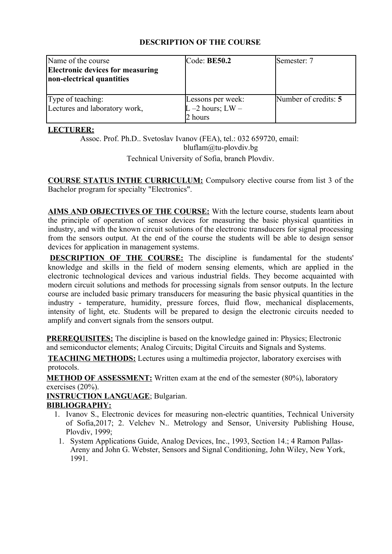| Name of the course<br><b>Electronic devices for measuring</b><br>non-electrical quantities | Code: BE50.2                                          | Semester: 7          |
|--------------------------------------------------------------------------------------------|-------------------------------------------------------|----------------------|
| Type of teaching:<br>Lectures and laboratory work,                                         | Lessons per week:<br>$L - 2$ hours; $LW -$<br>2 hours | Number of credits: 5 |

## **LECTURER:**

Assoc. Prof. Ph.D.. Svetoslav Ivanov (FEA), tel.: 032 659720, еmail: bluflam@tu-plovdiv.bg

Technical University of Sofia, branch Plovdiv.

**COURSE STATUS INTHE CURRICULUM:** Compulsory elective course from list 3 of the Bachelor program for specialty "Electronics".

**AIMS AND OBJECTIVES OF THE COURSE:** With the lecture course, students learn about the principle of operation of sensor devices for measuring the basic physical quantities in industry, and with the known circuit solutions of the electronic transducers for signal processing from the sensors output. At the end of the course the students will be able to design sensor devices for application in management systems.

**DESCRIPTION OF THE COURSE:** The discipline is fundamental for the students' knowledge and skills in the field of modern sensing elements, which are applied in the electronic technological devices and various industrial fields. They become acquainted with modern circuit solutions and methods for processing signals from sensor outputs. In the lecture course are included basic primary transducers for measuring the basic physical quantities in the industry - temperature, humidity, pressure forces, fluid flow, mechanical displacements, intensity of light, etc. Students will be prepared to design the electronic circuits needed to amplify and convert signals from the sensors output.

**PREREQUISITES:** The discipline is based on the knowledge gained in: Physics; Electronic and semiconductor elements; Analog Circuits; Digital Circuits and Signals and Systems.

**TEACHING METHODS:** Lectures using a multimedia projector, laboratory exercises with protocols.

**METHOD OF ASSESSMENT:** Written exam at the end of the semester (80%), laboratory exercises (20%).

**INSTRUCTION LANGUAGE**; Bulgarian.

# **BIBLIOGRAPHY:**

- 1. Ivanov S., Electronic devices for measuring non-electric quantities, Technical University of Sofia,2017; 2. Velchev N.. Metrology and Sensor, University Publishing House, Plovdiv, 1999;
	- 1. System Applications Guide, Analog Devices, Inc., 1993, Section 14.; 4 Ramon Pallas-Areny and John G. Webster, Sensors and Signal Conditioning, John Wiley, New York, 1991.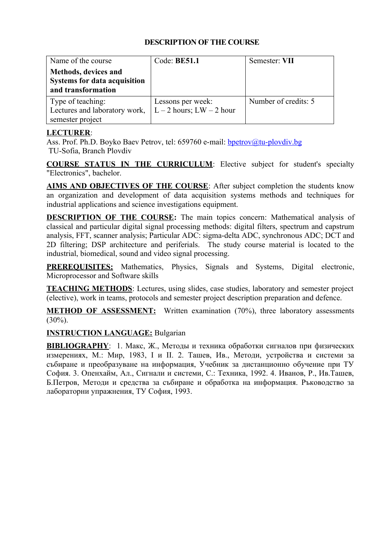| Name of the course                                                                | Code: BE51.1                                      | Semester: VII        |
|-----------------------------------------------------------------------------------|---------------------------------------------------|----------------------|
| Methods, devices and<br><b>Systems for data acquisition</b><br>and transformation |                                                   |                      |
| Type of teaching:<br>Lectures and laboratory work,<br>semester project            | Lessons per week:<br>$L - 2$ hours; $LW - 2$ hour | Number of credits: 5 |

## **LECTURER**:

Ass. Prof. Ph.D. Boyko Baev Petrov, tel: 659760 e-mail: [bpetrov@tu-plovdiv.bg](mailto:bpetrov@tu-plovdiv.bg) TU-Sofia, Branch Plovdiv

**COURSE STATUS IN THE CURRICULUM**: Elective subject for student's specialty "Electronics", bachelor.

**AIMS AND OBJECTIVES OF THE COURSE**: After subject completion the students know an organization and development of data acquisition systems methods and techniques for industrial applications and science investigations equipment.

**DESCRIPTION OF THE COURSE:** The main topics concern: Mathematical analysis of classical and particular digital signal processing methods: digital filters, spectrum and capstrum analysis, FFT, scanner analysis; Particular ADC: sigma-delta ADC, synchronous ADC; DCT and 2D filtering; DSP architecture and periferials. The study course material is located to the industrial, biomedical, sound and video signal processing.

**PREREQUISITES:** Mathematics, Physics, Signals and Systems, Digital electronic, Microprocessor and Software skills

**TEACHING METHODS**: Lectures, using slides, case studies, laboratory and semester project (elective), work in teams, protocols and semester project description preparation and defence.

**METHOD OF ASSESSMENT:** Written examination (70%), three laboratory assessments  $(30\%)$ .

# **INSTRUCTION LANGUAGE:** Bulgarian

**BIBLIOGRAPHY**:1. Макс, Ж., Методы и техника обработки сигналов при физических измерениях, М.: Мир, 1983, I и II. 2. Ташев, Ив., Методи, устройства и системи за събиране и преобразуване на информация, Учебник за дистанционно обучение при ТУ София. 3. Опенхайм, Ал., Сигнали и системи, С.: Техника, 1992. 4. Иванов, Р., Ив.Ташев, Б.Петров, Методи и средства за събиране и обработка на информация. Ръководство за лабораторни упражнения, ТУ София, 1993.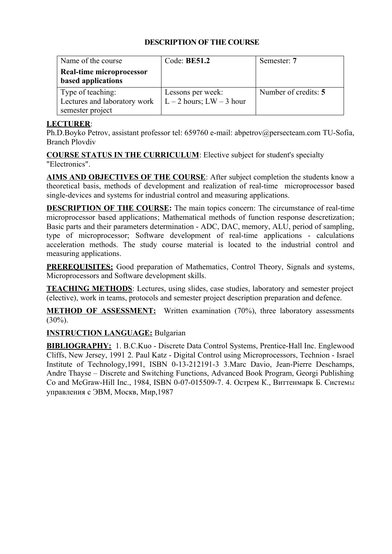| Name of the course           | Code: $BE51.2$               | Semester: 7          |
|------------------------------|------------------------------|----------------------|
| Real-time microprocessor     |                              |                      |
| based applications           |                              |                      |
| Type of teaching:            | Lessons per week:            | Number of credits: 5 |
| Lectures and laboratory work | $L - 2$ hours; $LW - 3$ hour |                      |
| semester project             |                              |                      |

## **LECTURER**:

Ph.D.Boyko Petrov, assistant professor tel: 659760 e-mail: abpetrov@persecteam.com TU-Sofia, Branch Plovdiv

**COURSE STATUS IN THE CURRICULUM**: Elective subject for student's specialty "Electronics".

**AIMS AND OBJECTIVES OF THE COURSE**: After subject completion the students know a theoretical basis, methods of development and realization of real-time microprocessor based single-devices and systems for industrial control and measuring applications.

**DESCRIPTION OF THE COURSE:** The main topics concern: The circumstance of real-time microprocessor based applications; Mathematical methods of function response descretization; Basic parts and their parameters determination - ADC, DAC, memory, ALU, period of sampling, type of microprocessor; Software development of real-time applications - calculations acceleration methods. The study course material is located to the industrial control and measuring applications.

**PREREQUISITES:** Good preparation of Mathematics, Control Theory, Signals and systems, Microprocessors and Software development skills.

**TEACHING METHODS**: Lectures, using slides, case studies, laboratory and semester project (elective), work in teams, protocols and semester project description preparation and defence.

**METHOD OF ASSESSMENT:** Written examination (70%), three laboratory assessments  $(30\%)$ .

# **INSTRUCTION LANGUAGE:** Bulgarian

**BIBLIOGRAPHY:** 1. B.C.Kuo - Discrete Data Control Systems, Prentice-Hall Inc. Englewood Cliffs, New Jersey, 1991 2. Paul Katz - Digital Control using Microprocessors, Technion - Israel Institute of Technology,1991, ISBN 0-13-212191-3 3.Marc Davio, Jean-Pierre Deschamps, Andre Thayse – Discrete and Switching Functions, Advanced Book Program, Georgi Publishing Co and McGraw-Hill Inc., 1984, ISBN 0-07-015509-7. 4. Острем К., Виттенмарк Б. Системы управления с ЭВМ, Москв, Мир,1987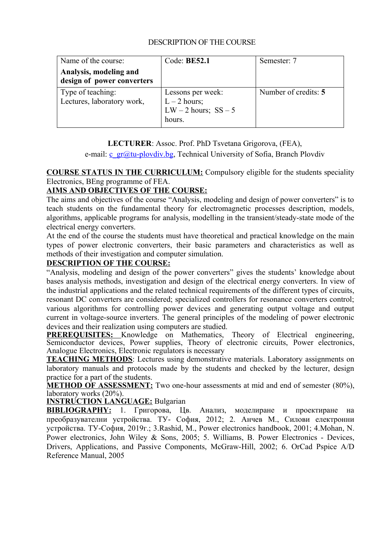| Name of the course:                                  | Code: $BE52.1$                                                          | Semester: 7          |
|------------------------------------------------------|-------------------------------------------------------------------------|----------------------|
| Analysis, modeling and<br>design of power converters |                                                                         |                      |
| Type of teaching:<br>Lectures, laboratory work,      | Lessons per week:<br>$L - 2$ hours;<br>LW $-2$ hours; SS $-5$<br>hours. | Number of credits: 5 |

**LECTURER**: Assoc. Prof. PhD Tsvetana Grigorova, (FEA),

e-mail:  $c_{gr}\omega t u$ -plovdiv.bg, Technical University of Sofia, Branch Plovdiv

# **COURSE STATUS IN THE CURRICULUM:** Compulsory eligible for the students speciality Electronics, BEng programme of FEA.

# **AIMS AND OBJECTIVES OF THE COURSE:**

The aims and objectives of the course "Analysis, modeling and design of power converters" is to teach students on the fundamental theory for electromagnetic processes description, models, algorithms, applicable programs for analysis, modelling in the transient/steady-state mode of the electrical energy converters.

At the end of the course the students must have theoretical and practical knowledge on the main types of power electronic converters, their basic parameters and characteristics as well as methods of their investigation and computer simulation.

## **DESCRIPTION OF THE COURSE:**

"Analysis, modeling and design of the power converters" gives the students' knowledge about bases analysis methods, investigation and design of the electrical energy converters. In view of the industrial applications and the related technical requirements of the different types of circuits, resonant DC converters are considered; specialized controllers for resonance converters control; various algorithms for controlling power devices and generating output voltage and output current in voltage-source inverters. The general principles of the modeling of power electronic devices and their realization using computers are studied.

**PREREQUISITES:** Knowledge on Mathematics, Theory of Electrical engineering, Semiconductor devices, Power supplies, Theory of electronic circuits, Power electronics, Analogue Electronics, Electronic regulators is necessary

**TEACHING METHODS**: Lectures using demonstrative materials. Laboratory assignments on laboratory manuals and protocols made by the students and checked by the lecturer, design practice for a part of the students.

**METHOD OF ASSESSMENT:** Two one-hour assessments at mid and end of semester (80%), laboratory works (20%).

**INSTRUCTION LANGUAGE:** Bulgarian

**BIBLIOGRAPHY:** 1. Григорова, Цв. Анализ, моделиране и проектиране на преобразувателни устройства. ТУ- София, 2012; 2. Анчев М., Силови електронни устройства. ТУ-София, 2019г.; 3.Rashid, M., Power electronics handbook, 2001; 4.Mohan, N. Power electronics, John Wiley & Sons, 2005; 5. Williams, B. Power Electronics - Devices, Drivers, Applications, and Passive Components, McGraw-Hill, 2002; 6. OrCad Pspice A/D Reference Manual, 2005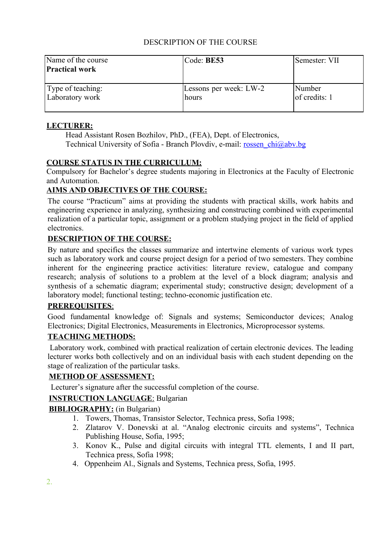| Name of the course<br><b>Practical work</b> | $\text{Code: BE53}$    | Semester: VII     |
|---------------------------------------------|------------------------|-------------------|
| Type of teaching:                           | Lessons per week: LW-2 | Number            |
| Laboratory work                             | hours                  | $ $ of credits: 1 |

## **LECTURER:**

Head Assistant Rosen Bozhilov, PhD., (FEA), Dept. of Electronics, Technical University of Sofia - Branch Plovdiv, e-mail: [rossen\\_chi@abv.bg](mailto:rossen_chi@abv.bg)

## **COURSE STATUS IN THE CURRICULUM:**

Compulsory for Bachelor's degree students majoring in Electronics at the Faculty of Electronic and Automation.

# **AIMS AND OBJECTIVES OF THE COURSE:**

The course "Practicum" aims at providing the students with practical skills, work habits and engineering experience in analyzing, synthesizing and constructing combined with experimental realization of a particular topic, assignment or a problem studying project in the field of applied electronics.

# **DESCRIPTION OF THE COURSE:**

By nature and specifics the classes summarize and intertwine elements of various work types such as laboratory work and course project design for a period of two semesters. They combine inherent for the engineering practice activities: literature review, catalogue and company research; analysis of solutions to a problem at the level of a block diagram; analysis and synthesis of a schematic diagram; experimental study; constructive design; development of a laboratory model; functional testing; techno-economic justification etc.

## **PREREQUISITES** :

Good fundamental knowledge of: Signals and systems; Semiconductor devices; Analog Electronics; Digital Electronics, Measurements in Electronics, Microprocessor systems.

## **TEACHING METHODS:**

Laboratory work, combined with practical realization of certain electronic devices. The leading lecturer works both collectively and on an individual basis with each student depending on the stage of realization of the particular tasks.

# **METHOD OF ASSESSMENT:**

Lecturer's signature after the successful completion of the course.

## **INSTRUCTION LANGUAGE:** Bulgarian

## **BIBLIOGRAPHY:** (in Bulgarian)

- 1. Towers, Thomas, Transistor Selector, Technica press, Sofia 1998;
- 2. Zlatarov V. Donevski at al. "Analog electronic circuits and systems", Technica Publishing House, Sofia, 1995;
- 3. Konov K., Pulse and digital circuits with integral TTL elements, I and II part, Technica press, Sofia 1998;
- 4. Oppenheim Al., Signals and Systems, Technica press, Sofia, 1995.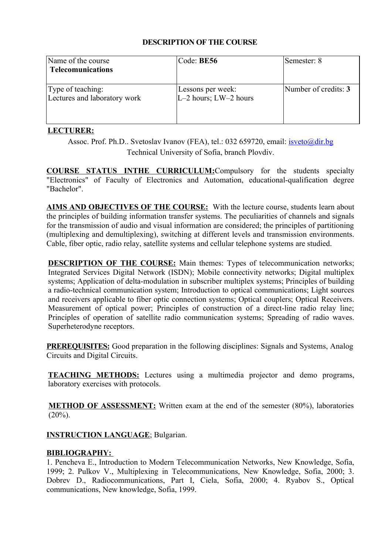| Name of the course<br><b>Telecomunications</b>    | Code: BE56                                     | Semester: 8          |
|---------------------------------------------------|------------------------------------------------|----------------------|
| Type of teaching:<br>Lectures and laboratory work | Lessons per week:<br>$L-2$ hours; $LW-2$ hours | Number of credits: 3 |

# **LECTURER :**

Assoc. Prof. Ph.D.. Svetoslav Ivanov (FEA), tel.: 032 659720, email: [isveto@dir.bg](mailto:isveto@dir.bg) Technical University of Sofia, branch Plovdiv.

 **COURSE STATUS INTHE CURRICULUM :**Compulsory for the students specialty "Electronics" of Faculty of Electronics and Automation, educational-qualification degree "Bachelor".

**AIMS AND OBJECTIVES OF THE COURSE:** With the lecture course, students learn about the principles of building information transfer systems. The peculiarities of channels and signals for the transmission of audio and visual information are considered; the principles of partitioning (multiplexing and demultiplexing), switching at different levels and transmission environments. Cable, fiber optic, radio relay, satellite systems and cellular telephone systems are studied.

**DESCRIPTION OF THE COURSE:** Main themes: Types of telecommunication networks; Integrated Services Digital Network (ISDN); Mobile connectivity networks; Digital multiplex systems; Application of delta-modulation in subscriber multiplex systems; Principles of building a radio-technical communication system; Introduction to optical communications; Light sources and receivers applicable to fiber optic connection systems: Optical couplers: Optical Receivers. Measurement of optical power; Principles of construction of a direct-line radio relay line; Principles of operation of satellite radio communication systems; Spreading of radio waves. Superheterodyne receptors.

**PREREQUISITES:** Good preparation in the following disciplines: Signals and Systems, Analog Circuits and Digital Circuits.

**TEACHING METHODS:** Lectures using a multimedia projector and demo programs, laboratory exercises with protocols.

**METHOD OF ASSESSMENT:** Written exam at the end of the semester (80%), laboratories  $(20\%)$ .

# **INSTRUCTION LANGUAGE**; Bulgarian.

## **BIBLIOGRAPHY:**

1. Pencheva E., Introduction to Modern Telecommunication Networks, New Knowledge, Sofia, 1999; 2. Pulkov V., Multiplexing in Telecommunications, New Knowledge, Sofia, 2000; 3. Dobrev D., Radiocommunications, Part I, Ciela, Sofia, 2000; 4. Ryabov S., Optical communications, New knowledge, Sofia, 1999.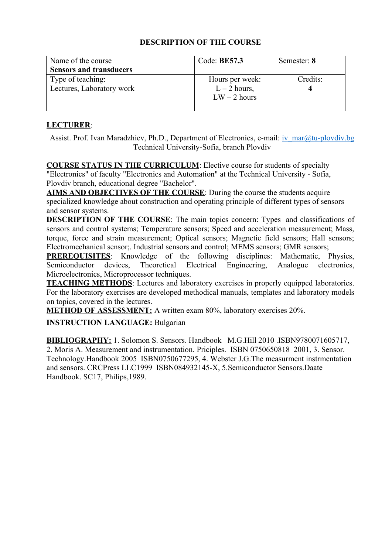| Name of the course<br><b>Sensors and transducers</b> | Code: BE57.3                                        | Semester: 8 |
|------------------------------------------------------|-----------------------------------------------------|-------------|
| Type of teaching:<br>Lectures, Laboratory work       | Hours per week:<br>$L - 2$ hours,<br>$LW - 2$ hours | Credits:    |

# **LECTURER**:

Assist. Prof. Ivan Maradzhiev, Ph.D., Department of Electronics, e-mail: [iv\\_mar@tu-plovdiv.bg](mailto:iv_mar@tu-plovdiv.bg) Technical University-Sofia, branch Plovdiv

**COURSE STATUS IN THE CURRICULUM**: Elective course for students of specialty "Electronics" of faculty "Electronics and Automation" at the Technical University - Sofia, Plovdiv branch, educational degree "Bachelor".

**AIMS AND OBJECTIVES OF THE COURSE**: During the course the students acquire specialized knowledge about construction and operating principle of different types of sensors and sensor systems.

**DESCRIPTION OF THE COURSE:** The main topics concern: Types and classifications of sensors and control systems; Temperature sensors; Speed and acceleration measurement; Mass, torque, force and strain measurement; Optical sensors; Magnetic field sensors; Hall sensors; Electromechanical sensor;. Industrial sensors and control; MEMS sensors; GMR sensors;

**PREREQUISITES**: Knowledge of the following disciplines: Mathematic, Physics, Semiconductor devices, Theoretical Electrical Engineering, Analogue electronics, Microelectronics, Microprocessor techniques.

**TEACHING METHODS**: Lectures and laboratory exercises in properly equipped laboratories. For the laboratory exercises are developed methodical manuals, templates and laboratory models on topics, covered in the lectures.

**METHOD OF ASSESSMENT:** A written exam 80%, laboratory exercises 20%.

# **INSTRUCTION LANGUAGE:** Bulgarian

**BIBLIOGRAPHY:** 1. Solomon S. Sensors. Handbook M.G.Hill 2010 .ISBN9780071605717, 2. Moris A. Measurement and instrumentation. Priciples. ISBN 0750650818 2001, 3. Sensor. Technology.Handbook 2005 ISBN0750677295, 4. Webster J.G.The measurment instrmentation and sensors. CRCPress LLC1999 ISBN084932145-X, 5.Semiconductor Sensors.Daate Handbook. SC17, Philips,1989.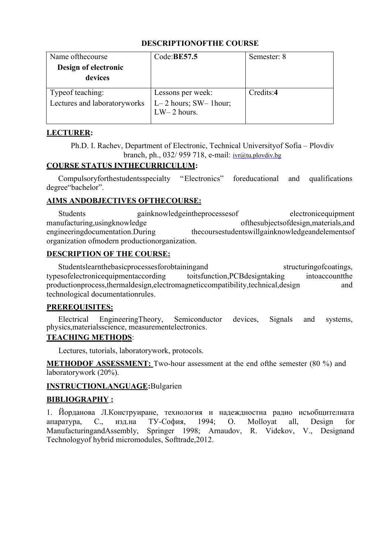| Name of the course                                | Code: BE57.5                                 | Semester: 8 |
|---------------------------------------------------|----------------------------------------------|-------------|
| Design of electronic                              |                                              |             |
| devices                                           |                                              |             |
| Type of teaching:<br>Lectures and laboratoryworks | Lessons per week:<br>$L-2$ hours; SW-1 hour; | Credits:4   |
|                                                   | $LW-2$ hours.                                |             |

# **LECTURER:**

Ph.D. I. Rachev, Department of Electronic, Technical Universityof Sofia – Plovdiv branch, ph., 032/ 959 718, e-mail: [ivr@tu.plovdiv.bg](mailto:ivr@tu.plovdiv.bg)

# **COURSE STATUS INTHECURRICULUM:**

Compulsoryforthestudentsspecialty "Electronics" foreducational and qualifications degree"bachelor".

# **AIMS ANDOBJECTIVES OFTHECOURSE:**

Students gainknowledgeintheprocessesof electronicequipment manufacturing,usingknowledge ofthesubjectsofdesign,materials,and engineeringdocumentation.During thecoursestudentswillgainknowledgeandelementsof organization ofmodern productionorganization.

# **DESCRIPTION OF THE COURSE:**

Studentslearnthebasicprocessesforobtainingand structuringofcoatings, typesofelectronicequipmentaccording toitsfunction,PCBdesigntaking intoaccountthe productionprocess,thermaldesign,electromagneticcompatibility,technical,design and technological documentationrules.

## **PREREOUISITES:**

Electrical EngineeringTheory, Semiconductor devices, Signals and systems, physics,materialsscience, measurementelectronics.

# **TEACHING METHODS:**

Lectures, tutorials, laboratorywork, protocols.

**METHODOF ASSESSMENT:** Two-hour assessment at the end ofthe semester (80 %) and laboratorywork (20%).

## **INSTRUCTIONLANGUAGE:**Bulgarien

## **BIBLIOGRAPHY:**

1. Йорданова Л.Конструиране, технология и надеждностна радио исъобщителната апаратура, С., изд.на ТУ-София, 1994; O. Molloyat all, Design for ManufacturingandAssembly, Springer 1998; Arnaudov, R. Videkov, V., Designand Technologyof hybrid micromodules, Softtrade,2012.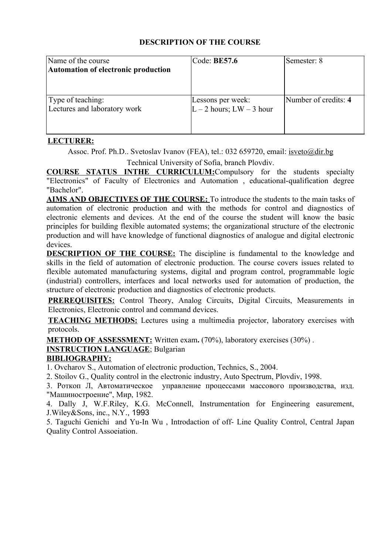| Name of the course<br>Automation of electronic production | Code: BE57.6                                      | Semester: 8          |
|-----------------------------------------------------------|---------------------------------------------------|----------------------|
| Type of teaching:<br>Lectures and laboratory work         | Lessons per week:<br>$L - 2$ hours; $LW - 3$ hour | Number of credits: 4 |

# **LECTURER :**

Assoc. Prof. Ph.D.. Svetoslav Ivanov (FEA), tel.: 032 659720, email: [isveto@dir.bg](mailto:isveto@dir.bg) Technical University of Sofia, branch Plovdiv.

 **COURSE STATUS INTHE CURRICULUM :**Compulsory for the students specialty

"Electronics" of Faculty of Electronics and Automation , educational-qualification degree "Bachelor".

AIMS AND OBJECTIVES OF THE COURSE: To introduce the students to the main tasks of automation of electronic production and with the methods for control and diagnostics of electronic elements and devices. At the end of the course the student will know the basic principles for building flexible automated systems; the organizational structure of the electronic production and will have knowledge of functional diagnostics of analogue and digital electronic devices.

**DESCRIPTION OF THE COURSE:** The discipline is fundamental to the knowledge and skills in the field of automation of electronic production. The course covers issues related to flexible automated manufacturing systems, digital and program control, programmable logic (industrial) controllers, interfaces and local networks used for automation of production, the structure of electronic production and diagnostics of electronic products.

**PREREQUISITES:** Control Theory, Analog Circuits, Digital Circuits, Measurements in Electronics, Electronic control and command devices.

**TEACHING METHODS:** Lectures using a multimedia projector, laboratory exercises with protocols.

**METHOD OF ASSESSMENT:** Written exam. (70%), laboratory exercises (30%).

**INSTRUCTION LANGUAGE**; Bulgarian

# **BIBLIOGRAPHY:**

1. Ovcharov S., Automation of electronic production, Technics, S., 2004.

2. Stoilov G., Quality control in the electronic industry, Auto Spectrum, Plovdiv, 1998.

3. Роткоп Л, Автоматическое управление процессами массового производства, изд. "Машиностроение", Mир, 1982.

4. Dally J, W.F.Riley, K.G. McConnell, Instrumentation for Engineering easurement, J.Wiley&Sons, inc., N.Y., 1993

5. Taguchi Genichi and Yu-In Wu , Introdaction of off- Line Quality Control, Central Japan Quality Control Assoeiation.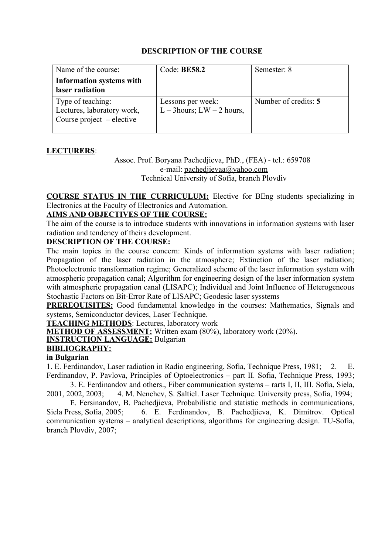| Name of the course:                                                            | Code: <b>BE58.2</b>                               | Semester: 8          |
|--------------------------------------------------------------------------------|---------------------------------------------------|----------------------|
| Information systems with<br>laser radiation                                    |                                                   |                      |
| Type of teaching:<br>Lectures, laboratory work,<br>Course project $-$ elective | Lessons per week:<br>L – 3 hours; $LW - 2$ hours, | Number of credits: 5 |

## **LECTURERS**:

Assoc. Prof. Boryana Pachedjieva, PhD., (FEA) - tel.: 659708 e-mail: [pachedjievaa@yahoo.com](mailto:pachedjievaa@yahoo.com) Technical University of Sofia, branch Plovdiv

**COURSE STATUS IN THE CURRICULUM:** Elective for BEng students specializing in Electronics at the Faculty of Electronics and Automation.

## **AIMS AND OBJECTIVES OF THE COURSE:**

The aim of the course is to introduce students with innovations in information systems with laser radiation and tendency of theirs development.

#### **DESCRIPTION OF THE COURSE:**

The main topics in the course concern: Kinds of information systems with laser radiation; Propagation of the laser radiation in the atmosphere; Extinction of the laser radiation; Photoelectronic transformation regime; Generalized scheme of the laser information system with atmospheric propagation canal; Algorithm for engineering design of the laser information system with atmospheric propagation canal (LISAPC); Individual and Joint Influence of Heterogeneous Stochastic Factors on Bit-Error Rate of LISAPC; Geodesic laser sysstems

**PREREQUISITES:** Good fundamental knowledge in the courses: Mathematics, Signals and systems, Semiconductor devices, Laser Technique.

**TEACHING METHODS**: Lectures, laboratory work

**METHOD OF ASSESSMENT:** Written exam (80%), laboratory work (20%).

# **INSTRUCTION LANGUAGE:** Bulgarian

## **BIBLIOGRAPHY:**

## **in Bulgarian**

1. E. Ferdinandov, Laser radiation in Radio engineering, Sofia, Technique Press, 1981; 2. E. Ferdinandov, P. Pavlova, Principles of Optoelectronics – part II*.* Sofia, Technique Press, 1993;

3. E. Ferdinandov аnd others., Fiber communication systems – rarts I, II, III. Sofia, Siela, 2001, 2002, 2003; 4. M. Nenchev, S. Saltiel. Laser Technique. University press, Sofia, 1994;

E. Fersinandov, B. Pachedjieva, Probabilistic and statistic methods in communications, Siela Press, Sofia, 2005; 6. E. Ferdinandov, B. Pachedjieva, K. Dimitrov. Optical communication systems – analytical descriptions, algorithms for engineering design. TU-Sofia, branch Plovdiv, 2007;